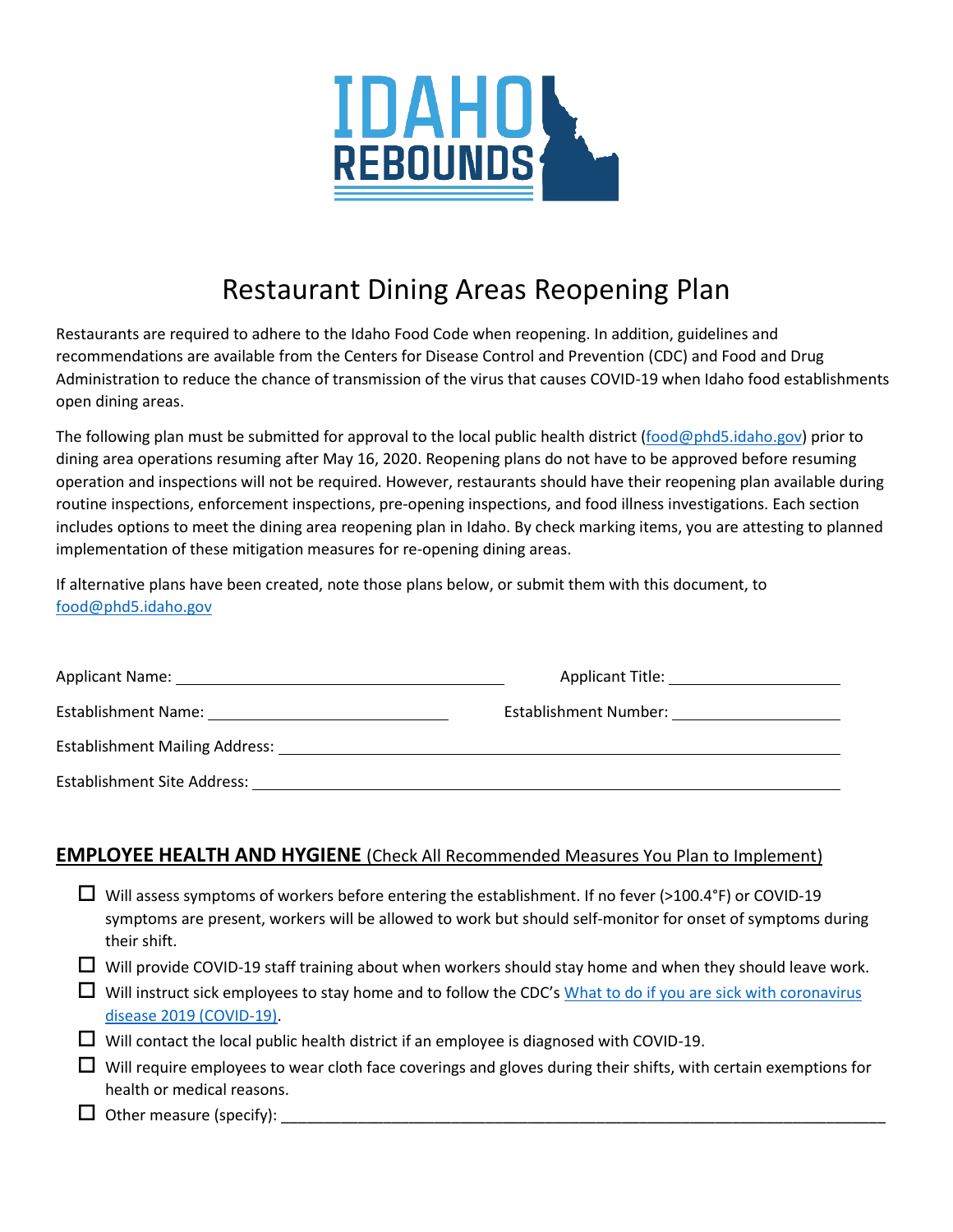

# Restaurant Dining Areas Reopening Plan

Restaurants are required to adhere to the Idaho Food Code when reopening. In addition, guidelines and recommendations are available from the Centers for Disease Control and Prevention (CDC) and Food and Drug Administration to reduce the chance of transmission of the virus that causes COVID-19 when Idaho food establishments open dining areas.

The following plan must be submitted for approval to the local public health district [\(food@phd5.idaho.gov\)](mailto:food@phd5.idaho.gov) prior to dining area operations resuming after May 16, 2020. Reopening plans do not have to be approved before resuming operation and inspections will not be required. However, restaurants should have their reopening plan available during routine inspections, enforcement inspections, pre-opening inspections, and food illness investigations. Each section includes options to meet the dining area reopening plan in Idaho. By check marking items, you are attesting to planned implementation of these mitigation measures for re-opening dining areas.

If alternative plans have been created, note those plans below, or submit them with this document, to [food@phd5.idaho.gov](mailto:food@phd5.idaho.gov)

|                                                                                                                 | Applicant Title: Applicant Title:                                                                                                                                                                                              |  |  |  |
|-----------------------------------------------------------------------------------------------------------------|--------------------------------------------------------------------------------------------------------------------------------------------------------------------------------------------------------------------------------|--|--|--|
|                                                                                                                 | Establishment Number: North and the state of the state of the state of the state of the state of the state of the state of the state of the state of the state of the state of the state of the state of the state of the stat |  |  |  |
| Establishment Mailing Address: National Communisties of the Communist Communist Communist Communist Communist C |                                                                                                                                                                                                                                |  |  |  |
| Establishment Site Address:                                                                                     |                                                                                                                                                                                                                                |  |  |  |

#### **EMPLOYEE HEALTH AND HYGIENE** (Check All Recommended Measures You Plan to Implement)

| $\Box$ Will assess symptoms of workers before entering the establishment. If no fever (>100.4°F) or COVID-19 |
|--------------------------------------------------------------------------------------------------------------|
| symptoms are present, workers will be allowed to work but should self-monitor for onset of symptoms during   |
| their shift.                                                                                                 |

- $\Box$  Will provide COVID-19 staff training about when workers should stay home and when they should leave work.
- $\Box$  Will instruct sick employees to stay home and to follow the CDC's What to do if you are sick with coronavirus [disease 2019 \(COVID-19\).](https://www.cdc.gov/coronavirus/2019-ncov/if-you-are-sick/steps-when-sick.html)
- $\Box$  Will contact the local public health district if an employee is diagnosed with COVID-19.
- $\Box$  Will require employees to wear cloth face coverings and gloves during their shifts, with certain exemptions for health or medical reasons.
- $\Box$  Other measure (specify):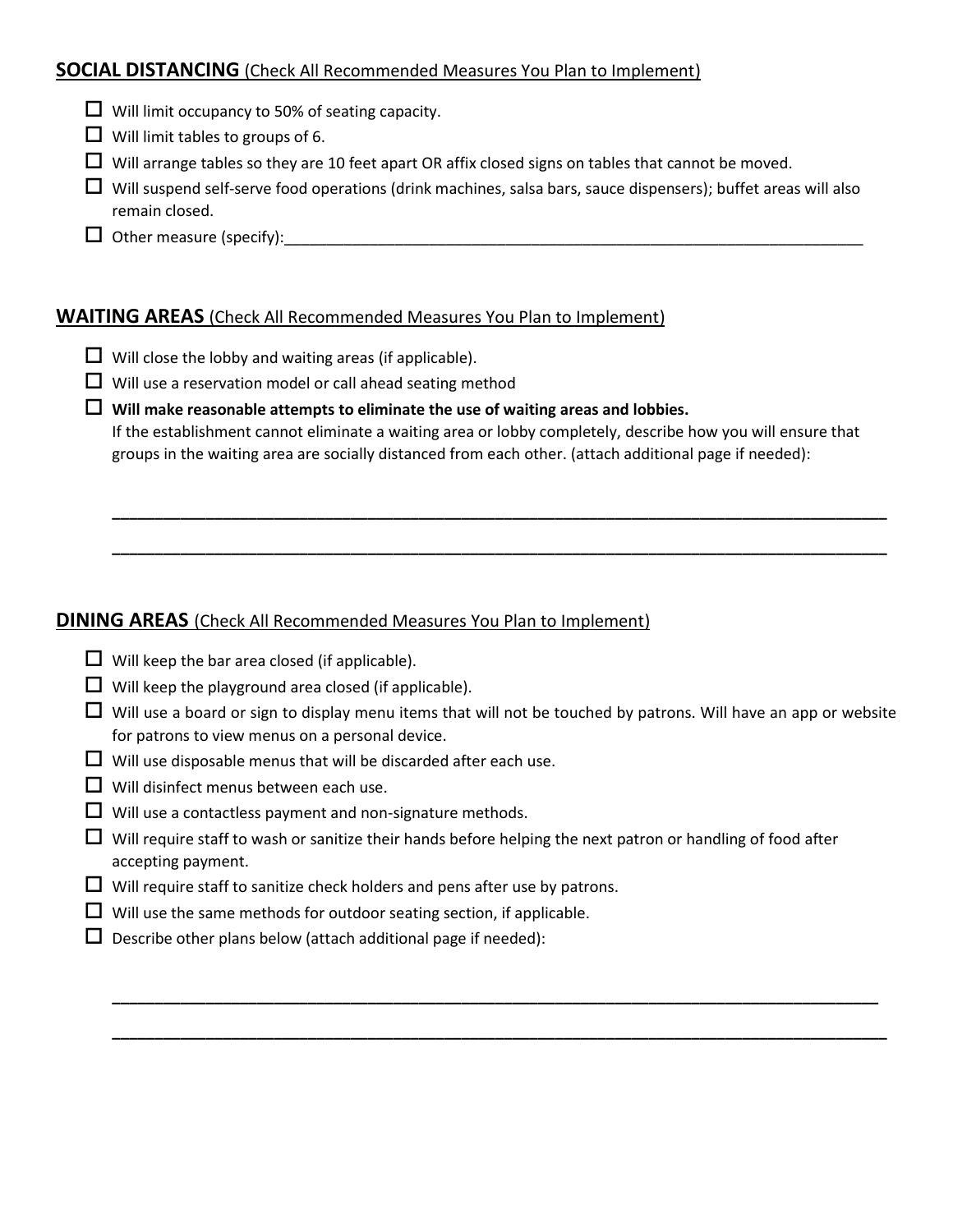### **SOCIAL DISTANCING** (Check All Recommended Measures You Plan to Implement)

- $\Box$  Will limit occupancy to 50% of seating capacity.
- $\Box$  Will limit tables to groups of 6.
- $\Box$  Will arrange tables so they are 10 feet apart OR affix closed signs on tables that cannot be moved.
- $\Box$  Will suspend self-serve food operations (drink machines, salsa bars, sauce dispensers); buffet areas will also remain closed.
- $\Box$  Other measure (specify):

#### **WAITING AREAS** (Check All Recommended Measures You Plan to Implement)

- $\Box$  Will close the lobby and waiting areas (if applicable).
- $\Box$  Will use a reservation model or call ahead seating method

 **Will make reasonable attempts to eliminate the use of waiting areas and lobbies.** If the establishment cannot eliminate a waiting area or lobby completely, describe how you will ensure that groups in the waiting area are socially distanced from each other. (attach additional page if needed):

**\_\_\_\_\_\_\_\_\_\_\_\_\_\_\_\_\_\_\_\_\_\_\_\_\_\_\_\_\_\_\_\_\_\_\_\_\_\_\_\_\_\_\_\_\_\_\_\_\_\_\_\_\_\_\_\_\_\_\_\_\_\_\_\_\_\_\_\_\_\_\_\_\_\_\_\_\_\_\_\_\_\_\_\_\_\_\_\_\_\_\_**

**\_\_\_\_\_\_\_\_\_\_\_\_\_\_\_\_\_\_\_\_\_\_\_\_\_\_\_\_\_\_\_\_\_\_\_\_\_\_\_\_\_\_\_\_\_\_\_\_\_\_\_\_\_\_\_\_\_\_\_\_\_\_\_\_\_\_\_\_\_\_\_\_\_\_\_\_\_\_\_\_\_\_\_\_\_\_\_\_\_\_\_**

## **DINING AREAS** (Check All Recommended Measures You Plan to Implement)

- $\Box$  Will keep the bar area closed (if applicable).
- $\Box$  Will keep the playground area closed (if applicable).
- $\Box$  Will use a board or sign to display menu items that will not be touched by patrons. Will have an app or website for patrons to view menus on a personal device.

**\_\_\_\_\_\_\_\_\_\_\_\_\_\_\_\_\_\_\_\_\_\_\_\_\_\_\_\_\_\_\_\_\_\_\_\_\_\_\_\_\_\_\_\_\_\_\_\_\_\_\_\_\_\_\_\_\_\_\_\_\_\_\_\_\_\_\_\_\_\_\_\_\_\_\_\_\_\_\_\_\_\_\_\_\_\_\_\_\_\_**

**\_\_\_\_\_\_\_\_\_\_\_\_\_\_\_\_\_\_\_\_\_\_\_\_\_\_\_\_\_\_\_\_\_\_\_\_\_\_\_\_\_\_\_\_\_\_\_\_\_\_\_\_\_\_\_\_\_\_\_\_\_\_\_\_\_\_\_\_\_\_\_\_\_\_\_\_\_\_\_\_\_\_\_\_\_\_\_\_\_\_\_**

- $\Box$  Will use disposable menus that will be discarded after each use.
- $\Box$  Will disinfect menus between each use.
- $\Box$  Will use a contactless payment and non-signature methods.
- $\Box$  Will require staff to wash or sanitize their hands before helping the next patron or handling of food after accepting payment.
- $\Box$  Will require staff to sanitize check holders and pens after use by patrons.
- $\Box$  Will use the same methods for outdoor seating section, if applicable.
- $\square$  Describe other plans below (attach additional page if needed):